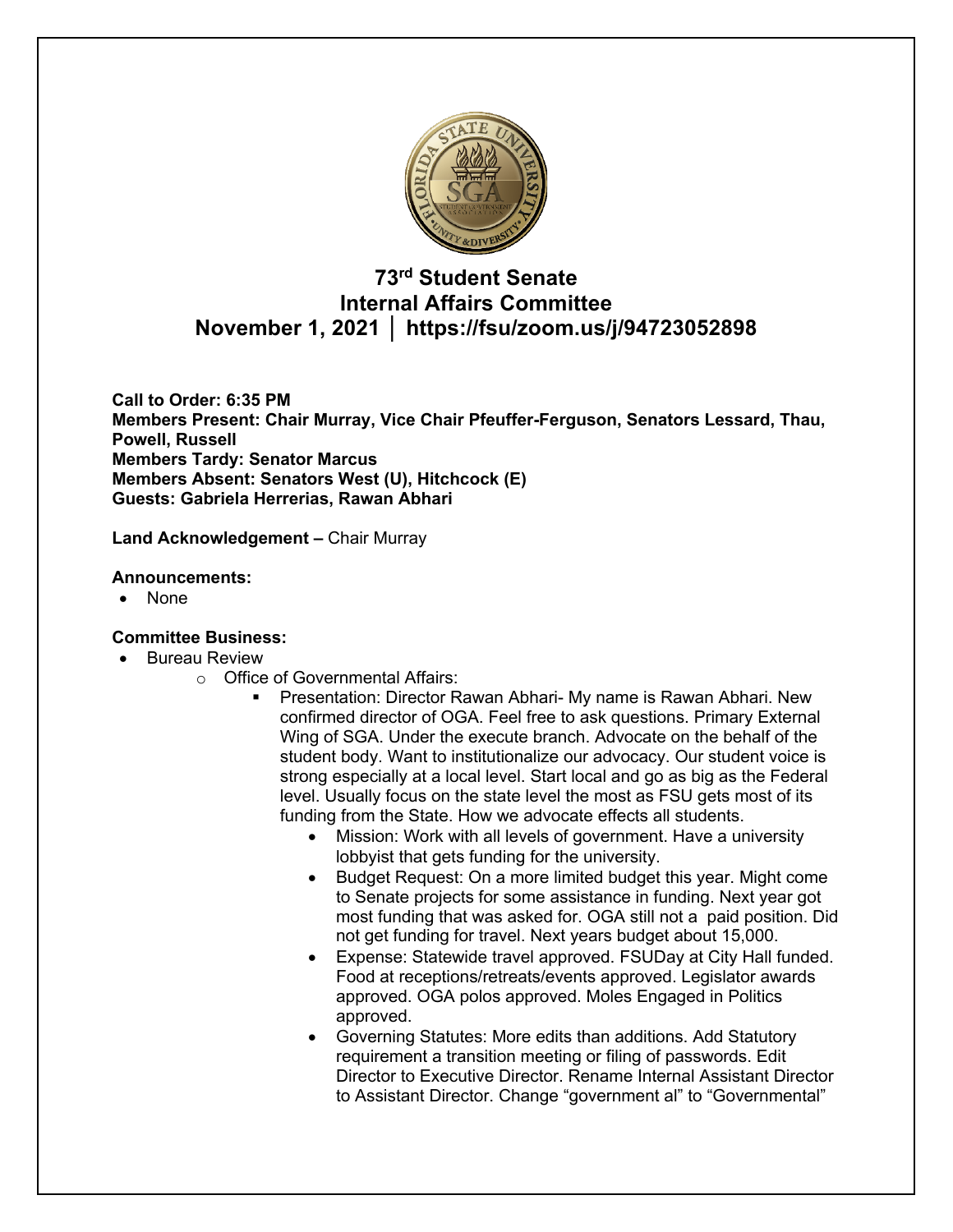

# **73rd Student Senate Internal Affairs Committee November 1, 2021 │ https://fsu/zoom.us/j/94723052898**

**Call to Order: 6:35 PM Members Present: Chair Murray, Vice Chair Pfeuffer-Ferguson, Senators Lessard, Thau, Powell, Russell Members Tardy: Senator Marcus Members Absent: Senators West (U), Hitchcock (E) Guests: Gabriela Herrerias, Rawan Abhari**

**Land Acknowledgement –** Chair Murray

#### **Announcements:**

• None

## **Committee Business:**

- Bureau Review
	- o Office of Governmental Affairs:
		- § Presentation: Director Rawan Abhari- My name is Rawan Abhari. New confirmed director of OGA. Feel free to ask questions. Primary External Wing of SGA. Under the execute branch. Advocate on the behalf of the student body. Want to institutionalize our advocacy. Our student voice is strong especially at a local level. Start local and go as big as the Federal level. Usually focus on the state level the most as FSU gets most of its funding from the State. How we advocate effects all students.
			- Mission: Work with all levels of government. Have a university lobbyist that gets funding for the university.
			- Budget Request: On a more limited budget this year. Might come to Senate projects for some assistance in funding. Next year got most funding that was asked for. OGA still not a paid position. Did not get funding for travel. Next years budget about 15,000.
			- Expense: Statewide travel approved. FSUDay at City Hall funded. Food at receptions/retreats/events approved. Legislator awards approved. OGA polos approved. Moles Engaged in Politics approved.
			- Governing Statutes: More edits than additions. Add Statutory requirement a transition meeting or filing of passwords. Edit Director to Executive Director. Rename Internal Assistant Director to Assistant Director. Change "government al" to "Governmental"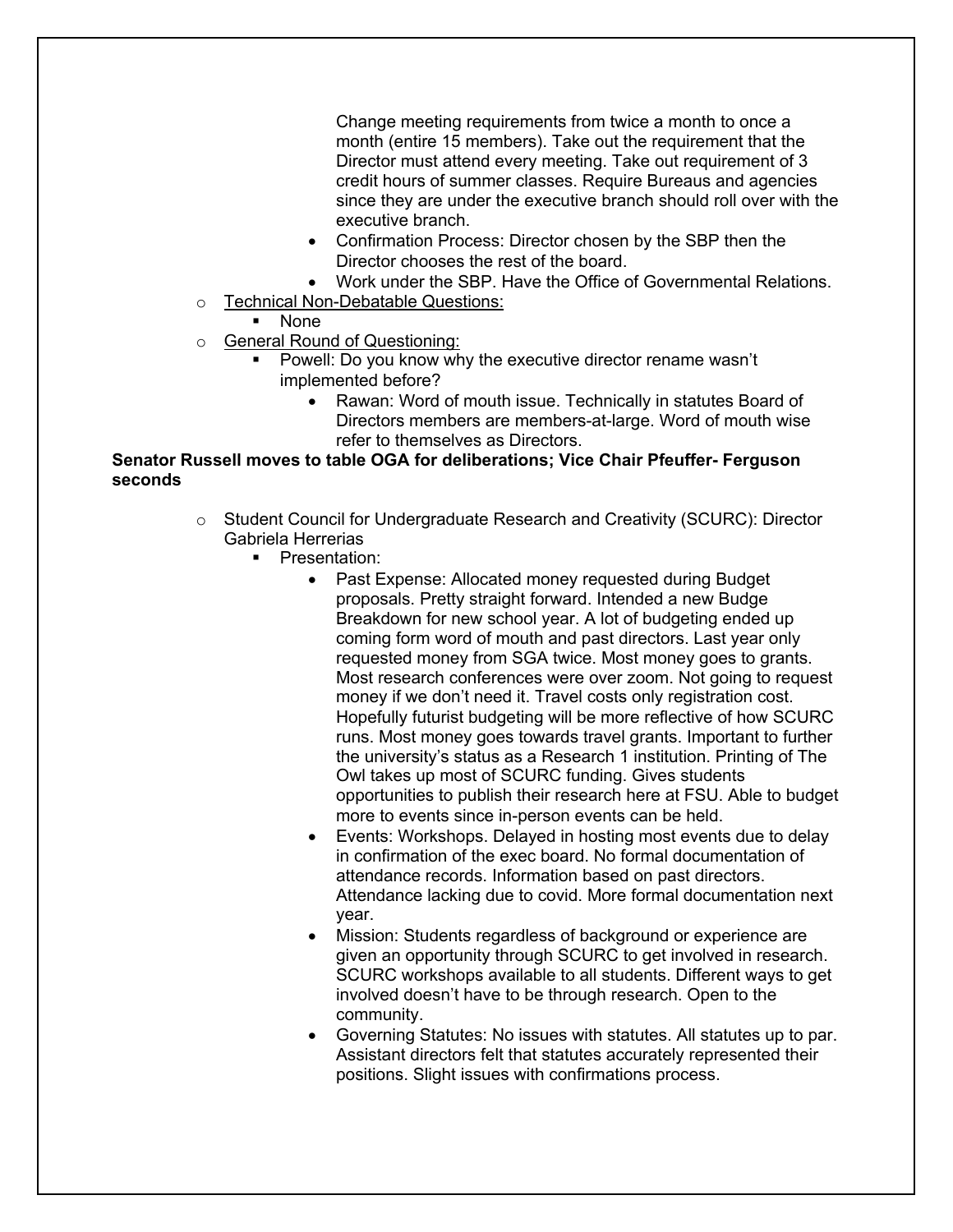Change meeting requirements from twice a month to once a month (entire 15 members). Take out the requirement that the Director must attend every meeting. Take out requirement of 3 credit hours of summer classes. Require Bureaus and agencies since they are under the executive branch should roll over with the executive branch.

- Confirmation Process: Director chosen by the SBP then the Director chooses the rest of the board.
- Work under the SBP. Have the Office of Governmental Relations.
- o Technical Non-Debatable Questions:
	- § None
- o General Round of Questioning:
	- § Powell: Do you know why the executive director rename wasn't implemented before?
		- Rawan: Word of mouth issue. Technically in statutes Board of Directors members are members-at-large. Word of mouth wise refer to themselves as Directors.

# **Senator Russell moves to table OGA for deliberations; Vice Chair Pfeuffer- Ferguson seconds**

- o Student Council for Undergraduate Research and Creativity (SCURC): Director Gabriela Herrerias
	- Presentation:
		- Past Expense: Allocated money requested during Budget proposals. Pretty straight forward. Intended a new Budge Breakdown for new school year. A lot of budgeting ended up coming form word of mouth and past directors. Last year only requested money from SGA twice. Most money goes to grants. Most research conferences were over zoom. Not going to request money if we don't need it. Travel costs only registration cost. Hopefully futurist budgeting will be more reflective of how SCURC runs. Most money goes towards travel grants. Important to further the university's status as a Research 1 institution. Printing of The Owl takes up most of SCURC funding. Gives students opportunities to publish their research here at FSU. Able to budget more to events since in-person events can be held.
		- Events: Workshops. Delayed in hosting most events due to delay in confirmation of the exec board. No formal documentation of attendance records. Information based on past directors. Attendance lacking due to covid. More formal documentation next year.
		- Mission: Students regardless of background or experience are given an opportunity through SCURC to get involved in research. SCURC workshops available to all students. Different ways to get involved doesn't have to be through research. Open to the community.
		- Governing Statutes: No issues with statutes. All statutes up to par. Assistant directors felt that statutes accurately represented their positions. Slight issues with confirmations process.